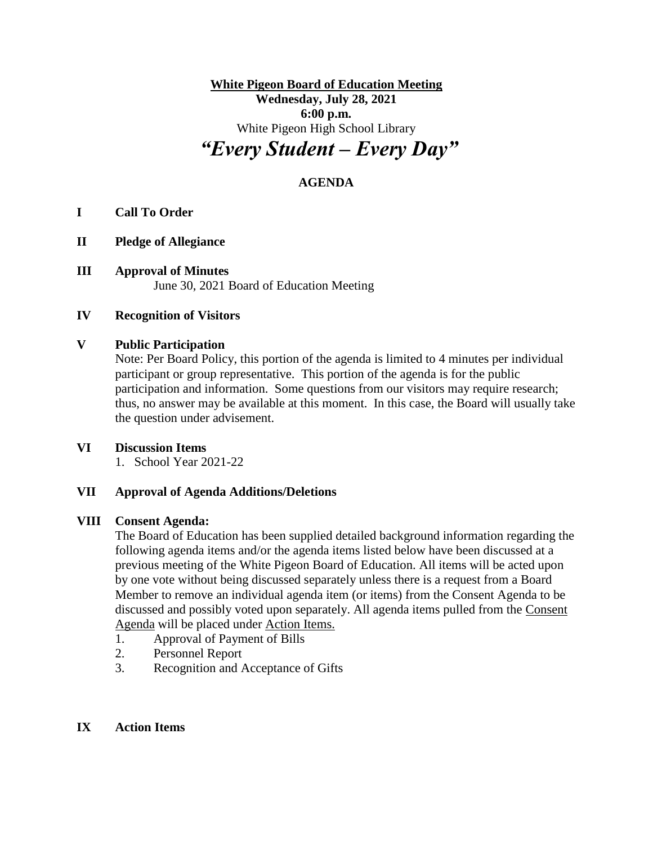**White Pigeon Board of Education Meeting Wednesday, July 28, 2021 6:00 p.m.** White Pigeon High School Library *"Every Student – Every Day"*

# **AGENDA**

## **I Call To Order**

- **II Pledge of Allegiance**
- **III Approval of Minutes** June 30, 2021 Board of Education Meeting

### **IV Recognition of Visitors**

#### **V Public Participation**

Note: Per Board Policy, this portion of the agenda is limited to 4 minutes per individual participant or group representative. This portion of the agenda is for the public participation and information. Some questions from our visitors may require research; thus, no answer may be available at this moment. In this case, the Board will usually take the question under advisement.

### **VI Discussion Items**

1. School Year 2021-22

#### **VII Approval of Agenda Additions/Deletions**

#### **VIII Consent Agenda:**

The Board of Education has been supplied detailed background information regarding the following agenda items and/or the agenda items listed below have been discussed at a previous meeting of the White Pigeon Board of Education. All items will be acted upon by one vote without being discussed separately unless there is a request from a Board Member to remove an individual agenda item (or items) from the Consent Agenda to be discussed and possibly voted upon separately. All agenda items pulled from the Consent Agenda will be placed under Action Items.

- 1. Approval of Payment of Bills
- 2. Personnel Report
- 3. Recognition and Acceptance of Gifts

#### **IX Action Items**